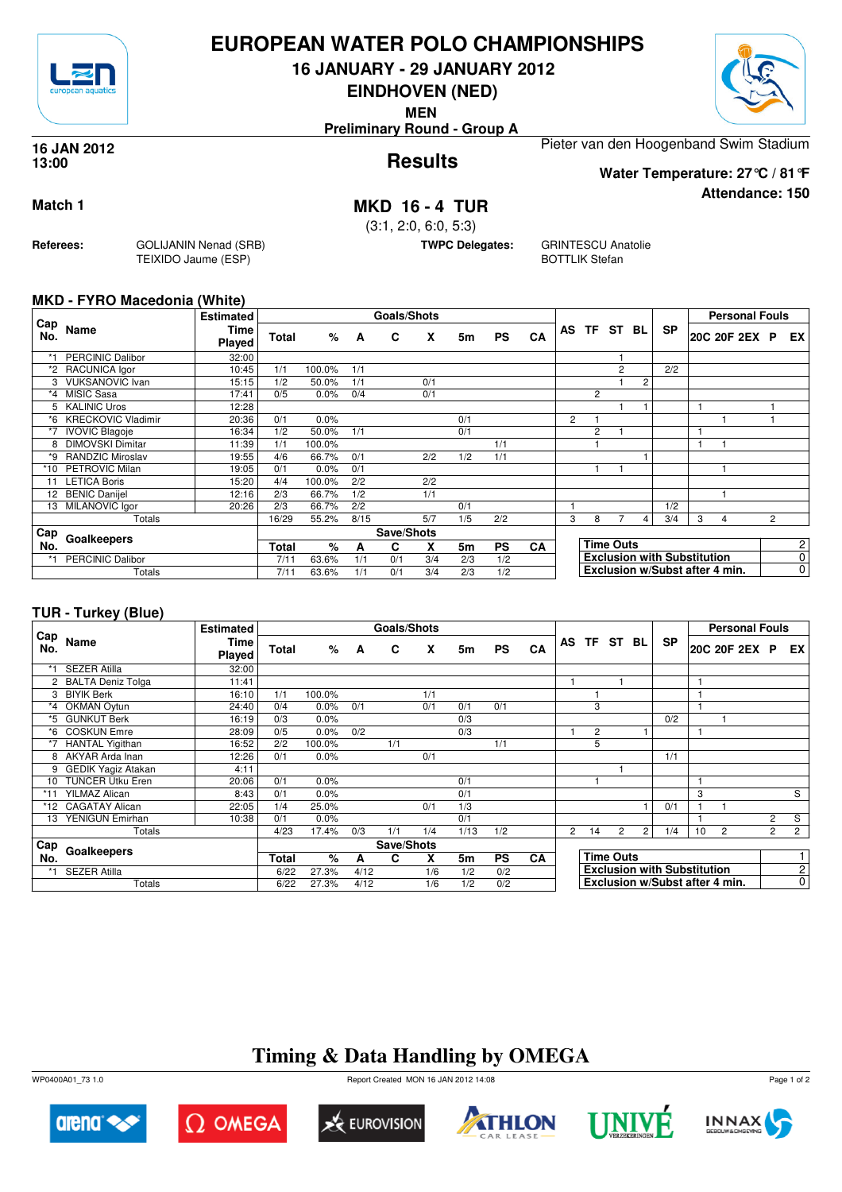

## **EUROPEAN WATER POLO CHAMPIONSHIPS**

**16 JANUARY - 29 JANUARY 2012**

**EINDHOVEN (NED)**

**MEN**

**Preliminary Round - Group A**



**Attendance: 150**

**Results 16 JAN 2012 13:00**

Pieter van den Hoogenband Swim Stadium **Water Temperature: 27°C / 81°F**

**Match 1 MKD 16 - 4 TUR**

(3:1, 2:0, 6:0, 5:3)

**TWPC Delegates:** GRINTESCU Anatolie BOTTLIK Stefan

### **MKD - FYRO Macedonia (White)**

**Referees:** GOLIJANIN Nenad (SRB)

TEIXIDO Jaume (ESP)

|            |                           | <b>Estimated</b>      | <b>Goals/Shots</b> |        |      |            |     |     |           |           |                |                |                  |                |                                    |   | <b>Personal Fouls</b> |                |                |
|------------|---------------------------|-----------------------|--------------------|--------|------|------------|-----|-----|-----------|-----------|----------------|----------------|------------------|----------------|------------------------------------|---|-----------------------|----------------|----------------|
| Cap<br>No. | Name                      | Time<br><b>Played</b> | Total              | %      | A    | C          | X   | 5m  | <b>PS</b> | CA        | AS             | TF.            | ST               | BL             | <b>SP</b>                          |   | 20C 20F 2EX P         |                | EX.            |
|            | <b>PERCINIC Dalibor</b>   | 32:00                 |                    |        |      |            |     |     |           |           |                |                |                  |                |                                    |   |                       |                |                |
|            | *2 RACUNICA lgor          | 10:45                 | 1/1                | 100.0% | 1/1  |            |     |     |           |           |                |                | 2                |                | 2/2                                |   |                       |                |                |
|            | <b>VUKSANOVIC Ivan</b>    | 15:15                 | 1/2                | 50.0%  | 1/1  |            | 0/1 |     |           |           |                |                |                  | $\overline{2}$ |                                    |   |                       |                |                |
| $*_{4}$    | <b>MISIC Sasa</b>         | 17:41                 | 0/5                | 0.0%   | 0/4  |            | 0/1 |     |           |           |                | $\overline{2}$ |                  |                |                                    |   |                       |                |                |
|            | <b>KALINIC Uros</b>       | 12:28                 |                    |        |      |            |     |     |           |           |                |                |                  |                |                                    |   |                       |                |                |
| *6         | <b>KRECKOVIC Vladimir</b> | 20:36                 | 0/1                | 0.0%   |      |            |     | 0/1 |           |           | $\overline{2}$ |                |                  |                |                                    |   |                       |                |                |
| *7         | <b>IVOVIC Blagoje</b>     | 16:34                 | 1/2                | 50.0%  | 1/1  |            |     | 0/1 |           |           |                | $\overline{2}$ |                  |                |                                    |   |                       |                |                |
| 8          | <b>DIMOVSKI Dimitar</b>   | 11:39                 | 1/1                | 100.0% |      |            |     |     | 1/1       |           |                |                |                  |                |                                    |   |                       |                |                |
| *9         | <b>RANDZIC Miroslav</b>   | 19:55                 | 4/6                | 66.7%  | 0/1  |            | 2/2 | 1/2 | 1/1       |           |                |                |                  |                |                                    |   |                       |                |                |
| $*10$      | PETROVIC Milan            | 19:05                 | 0/1                | 0.0%   | 0/1  |            |     |     |           |           |                |                |                  |                |                                    |   |                       |                |                |
| 11         | <b>LETICA Boris</b>       | 15:20                 | 4/4                | 100.0% | 2/2  |            | 2/2 |     |           |           |                |                |                  |                |                                    |   |                       |                |                |
| 12         | <b>BENIC Danijel</b>      | 12:16                 | 2/3                | 66.7%  | 1/2  |            | 1/1 |     |           |           |                |                |                  |                |                                    |   |                       |                |                |
| 13         | MILANOVIC Igor            | 20:26                 | 2/3                | 66.7%  | 2/2  |            |     | 0/1 |           |           |                |                |                  |                | 1/2                                |   |                       |                |                |
|            | Totals                    |                       | 16/29              | 55.2%  | 8/15 |            | 5/7 | 1/5 | 2/2       |           | 3              | 8              |                  | 4              | 3/4                                | 3 | 4                     | $\overline{2}$ |                |
| Cap        |                           |                       |                    |        |      | Save/Shots |     |     |           |           |                |                |                  |                |                                    |   |                       |                |                |
| No.        | Goalkeepers               |                       | Total              | %      | A    | C          | x   | 5m  | <b>PS</b> | <b>CA</b> |                |                | <b>Time Outs</b> |                |                                    |   |                       |                | $\overline{c}$ |
| *1         | <b>PERCINIC Dalibor</b>   |                       | 7/11               | 63.6%  | 1/1  | 0/1        | 3/4 | 2/3 | 1/2       |           |                |                |                  |                | <b>Exclusion with Substitution</b> |   |                       |                | 0              |
|            | Totals                    |                       | 7/11               | 63.6%  | 1/1  | 0/1        | 3/4 | 2/3 | 1/2       |           |                |                |                  |                | Exclusion w/Subst after 4 min.     |   |                       |                | $\mathbf 0$    |

### **TUR - Turkey (Blue)**

|                 |                           | <b>Estimated</b>      |       |         |      |            | Goals/Shots |      |           |           |                |                  |                |                |                                    |    | <b>Personal Fouls</b> |                |                |
|-----------------|---------------------------|-----------------------|-------|---------|------|------------|-------------|------|-----------|-----------|----------------|------------------|----------------|----------------|------------------------------------|----|-----------------------|----------------|----------------|
| Cap<br>No.      | Name                      | Time<br><b>Played</b> | Total | %       | A    | C          | X           | 5m   | <b>PS</b> | CA        |                |                  | AS TF ST BL    |                | <b>SP</b>                          |    | 20C 20F 2EX P         |                | EX             |
|                 | <b>SEZER Atilla</b>       | 32:00                 |       |         |      |            |             |      |           |           |                |                  |                |                |                                    |    |                       |                |                |
|                 | <b>BALTA Deniz Tolga</b>  | 11:41                 |       |         |      |            |             |      |           |           |                |                  |                |                |                                    | 1  |                       |                |                |
| 3               | <b>BIYIK Berk</b>         | 16:10                 | 1/1   | 100.0%  |      |            | 1/1         |      |           |           |                |                  |                |                |                                    |    |                       |                |                |
| $*_{4}$         | <b>OKMAN Oytun</b>        | 24:40                 | 0/4   | 0.0%    | 0/1  |            | 0/1         | 0/1  | 0/1       |           |                | 3                |                |                |                                    |    |                       |                |                |
| *5              | <b>GUNKUT Berk</b>        | 16:19                 | 0/3   | 0.0%    |      |            |             | 0/3  |           |           |                |                  |                |                | 0/2                                |    |                       |                |                |
| *6              | <b>COSKUN Emre</b>        | 28:09                 | 0/5   | 0.0%    | 0/2  |            |             | 0/3  |           |           |                | $\overline{2}$   |                |                |                                    |    |                       |                |                |
|                 | <b>HANTAL Yigithan</b>    | 16:52                 | 2/2   | 100.0%  |      | 1/1        |             |      | 1/1       |           |                | 5                |                |                |                                    |    |                       |                |                |
| 8               | AKYAR Arda Inan           | 12:26                 | 0/1   | 0.0%    |      |            | 0/1         |      |           |           |                |                  |                |                | 1/1                                |    |                       |                |                |
| 9               | <b>GEDIK Yagiz Atakan</b> | 4:11                  |       |         |      |            |             |      |           |           |                |                  |                |                |                                    |    |                       |                |                |
| 10 <sup>1</sup> | <b>TUNCER Utku Eren</b>   | 20:06                 | 0/1   | 0.0%    |      |            |             | 0/1  |           |           |                |                  |                |                |                                    | 1  |                       |                |                |
|                 | <b>YILMAZ Alican</b>      | 8:43                  | 0/1   | 0.0%    |      |            |             | 0/1  |           |           |                |                  |                |                |                                    | 3  |                       |                | S              |
| *12             | <b>CAGATAY Alican</b>     | 22:05                 | 1/4   | 25.0%   |      |            | 0/1         | 1/3  |           |           |                |                  |                |                | 0/1                                |    |                       |                |                |
| 13              | YENIGUN Emirhan           | 10:38                 | 0/1   | $0.0\%$ |      |            |             | 0/1  |           |           |                |                  |                |                |                                    |    |                       | $\overline{2}$ | S              |
|                 | Totals                    |                       | 4/23  | 17.4%   | 0/3  | 1/1        | 1/4         | 1/13 | 1/2       |           | $\overline{2}$ | 14               | $\overline{2}$ | $\overline{2}$ | 1/4                                | 10 | $\overline{2}$        | $\overline{2}$ | $\overline{2}$ |
| Cap             |                           |                       |       |         |      | Save/Shots |             |      |           |           |                |                  |                |                |                                    |    |                       |                |                |
| No.             | Goalkeepers               |                       | Total | %       | A    | C          | x           | 5m   | <b>PS</b> | <b>CA</b> |                | <b>Time Outs</b> |                |                |                                    |    |                       |                |                |
|                 | <b>SEZER Atilla</b>       |                       | 6/22  | 27.3%   | 4/12 |            | 1/6         | 1/2  | 0/2       |           |                |                  |                |                | <b>Exclusion with Substitution</b> |    |                       |                | $\overline{c}$ |
|                 | Totals                    |                       | 6/22  | 27.3%   | 4/12 |            | 1/6         | 1/2  | 0/2       |           |                |                  |                |                | Exclusion w/Subst after 4 min.     |    |                       |                | $\overline{0}$ |

## **Timing & Data Handling by OMEGA**















Page 1 of 2